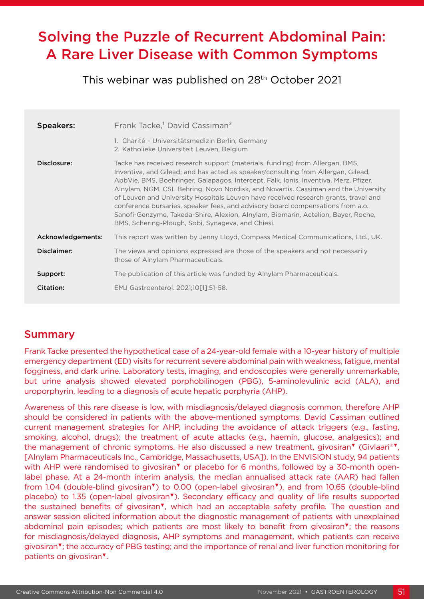# Solving the Puzzle of Recurrent Abdominal Pain: A Rare Liver Disease with Common Symptoms

This webinar was published on 28<sup>th</sup> October 2021

| <b>Speakers:</b>  | Frank Tacke, <sup>1</sup> David Cassiman <sup>2</sup>                                                                                                                                                                                                                                                                                                                                                                                                                                                                                                                                                                                                              |
|-------------------|--------------------------------------------------------------------------------------------------------------------------------------------------------------------------------------------------------------------------------------------------------------------------------------------------------------------------------------------------------------------------------------------------------------------------------------------------------------------------------------------------------------------------------------------------------------------------------------------------------------------------------------------------------------------|
|                   | 1. Charité - Universitätsmedizin Berlin, Germany<br>2. Katholieke Universiteit Leuven, Belgium                                                                                                                                                                                                                                                                                                                                                                                                                                                                                                                                                                     |
| Disclosure:       | Tacke has received research support (materials, funding) from Allergan, BMS,<br>Inventiva, and Gilead; and has acted as speaker/consulting from Allergan, Gilead,<br>AbbVie, BMS, Boehringer, Galapagos, Intercept, Falk, Ionis, Inventiva, Merz, Pfizer,<br>Alnylam, NGM, CSL Behring, Novo Nordisk, and Novartis. Cassiman and the University<br>of Leuven and University Hospitals Leuven have received research grants, travel and<br>conference bursaries, speaker fees, and advisory board compensations from a.o.<br>Sanofi-Genzyme, Takeda-Shire, Alexion, Alnylam, Biomarin, Actelion, Bayer, Roche,<br>BMS, Schering-Plough, Sobi, Synageva, and Chiesi. |
| Acknowledgements: | This report was written by Jenny Lloyd, Compass Medical Communications, Ltd., UK.                                                                                                                                                                                                                                                                                                                                                                                                                                                                                                                                                                                  |
| Disclaimer:       | The views and opinions expressed are those of the speakers and not necessarily<br>those of Alnylam Pharmaceuticals.                                                                                                                                                                                                                                                                                                                                                                                                                                                                                                                                                |
| Support:          | The publication of this article was funded by Alnylam Pharmaceuticals.                                                                                                                                                                                                                                                                                                                                                                                                                                                                                                                                                                                             |
| Citation:         | EMJ Gastroenterol. 2021;10[1]:51-58.                                                                                                                                                                                                                                                                                                                                                                                                                                                                                                                                                                                                                               |

# Summary

Frank Tacke presented the hypothetical case of a 24-year-old female with a 10-year history of multiple emergency department (ED) visits for recurrent severe abdominal pain with weakness, fatigue, mental fogginess, and dark urine. Laboratory tests, imaging, and endoscopies were generally unremarkable, but urine analysis showed elevated porphobilinogen (PBG), 5-aminolevulinic acid (ALA), and uroporphyrin, leading to a diagnosis of acute hepatic porphyria (AHP).

Awareness of this rare disease is low, with misdiagnosis/delayed diagnosis common, therefore AHP should be considered in patients with the above-mentioned symptoms. David Cassiman outlined current management strategies for AHP, including the avoidance of attack triggers (e.g., fasting, smoking, alcohol, drugs); the treatment of acute attacks (e.g., haemin, glucose, analgesics); and the management of chronic symptoms. He also discussed a new treatment, givosiran▼ (Givlaari®▼, [Alnylam Pharmaceuticals Inc., Cambridge, Massachusetts, USA]). In the ENVISION study, 94 patients with AHP were randomised to givosiran<sup>▼</sup> or placebo for 6 months, followed by a 30-month openlabel phase. At a 24-month interim analysis, the median annualised attack rate (AAR) had fallen from 1.04 (double-blind givosiran▼) to 0.00 (open-label givosiran▼), and from 10.65 (double-blind placebo) to 1.35 (open-label givosiran▼). Secondary efficacy and quality of life results supported the sustained benefits of givosiran▼, which had an acceptable safety profile. The question and answer session elicited information about the diagnostic management of patients with unexplained abdominal pain episodes; which patients are most likely to benefit from givosiran▼; the reasons for misdiagnosis/delayed diagnosis, AHP symptoms and management, which patients can receive givosiran▼; the accuracy of PBG testing; and the importance of renal and liver function monitoring for patients on givosiran▼.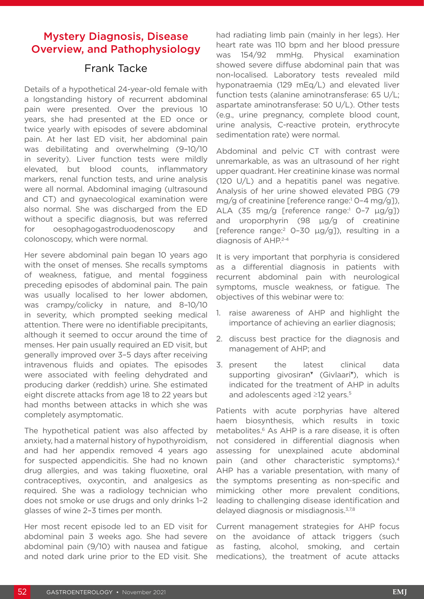## Mystery Diagnosis, Disease Overview, and Pathophysiology

## Frank Tacke

Details of a hypothetical 24-year-old female with a longstanding history of recurrent abdominal pain were presented. Over the previous 10 years, she had presented at the ED once or twice yearly with episodes of severe abdominal pain. At her last ED visit, her abdominal pain was debilitating and overwhelming (9–10/10 in severity). Liver function tests were mildly elevated, but blood counts, inflammatory markers, renal function tests, and urine analysis were all normal. Abdominal imaging (ultrasound and CT) and gynaecological examination were also normal. She was discharged from the ED without a specific diagnosis, but was referred for oesophagogastroduodenoscopy and colonoscopy, which were normal.

Her severe abdominal pain began 10 years ago with the onset of menses. She recalls symptoms of weakness, fatigue, and mental fogginess preceding episodes of abdominal pain. The pain was usually localised to her lower abdomen, was crampy/colicky in nature, and 8–10/10 in severity, which prompted seeking medical attention. There were no identifiable precipitants, although it seemed to occur around the time of menses. Her pain usually required an ED visit, but generally improved over 3–5 days after receiving intravenous fluids and opiates. The episodes were associated with feeling dehydrated and producing darker (reddish) urine. She estimated eight discrete attacks from age 18 to 22 years but had months between attacks in which she was completely asymptomatic.

The hypothetical patient was also affected by anxiety, had a maternal history of hypothyroidism, and had her appendix removed 4 years ago for suspected appendicitis. She had no known drug allergies, and was taking fluoxetine, oral contraceptives, oxycontin, and analgesics as required. She was a radiology technician who does not smoke or use drugs and only drinks 1–2 glasses of wine 2–3 times per month.

Her most recent episode led to an ED visit for abdominal pain 3 weeks ago. She had severe abdominal pain (9/10) with nausea and fatigue and noted dark urine prior to the ED visit. She

had radiating limb pain (mainly in her legs). Her heart rate was 110 bpm and her blood pressure was 154/92 mmHg. Physical examination showed severe diffuse abdominal pain that was non-localised. Laboratory tests revealed mild hyponatraemia (129 mEq/L) and elevated liver function tests (alanine aminotransferase: 65 U/L; aspartate aminotransferase: 50 U/L). Other tests (e.g., urine pregnancy, complete blood count, urine analysis, C-reactive protein, erythrocyte sedimentation rate) were normal.

Abdominal and pelvic CT with contrast were unremarkable, as was an ultrasound of her right upper quadrant. Her creatinine kinase was normal (120 U/L) and a hepatitis panel was negative. Analysis of her urine showed elevated PBG (79 mg/g of creatinine [reference range:<sup>1</sup> 0-4 mg/g]),  $ALA$  (35 mg/g [reference range:<sup>1</sup> 0-7  $\mu$ g/g]) and uroporphyrin (98 μg/g of creatinine [reference range:<sup>2</sup> 0-30  $\mu$ g/g]), resulting in a diagnosis of AHP.2-4

It is very important that porphyria is considered as a differential diagnosis in patients with recurrent abdominal pain with neurological symptoms, muscle weakness, or fatigue. The objectives of this webinar were to:

- 1. raise awareness of AHP and highlight the importance of achieving an earlier diagnosis;
- 2. discuss best practice for the diagnosis and management of AHP; and
- 3. present the latest clinical data supporting givosiran<sup>™</sup> (Givlaari<sup>™</sup>), which is indicated for the treatment of AHP in adults and adolescents aged ≥12 years.<sup>5</sup>

Patients with acute porphyrias have altered haem biosynthesis, which results in toxic metabolites.<sup>6</sup> As AHP is a rare disease, it is often not considered in differential diagnosis when assessing for unexplained acute abdominal pain (and other characteristic symptoms).4 AHP has a variable presentation, with many of the symptoms presenting as non-specific and mimicking other more prevalent conditions, leading to challenging disease identification and delayed diagnosis or misdiagnosis.3,7,8

Current management strategies for AHP focus on the avoidance of attack triggers (such as fasting, alcohol, smoking, and certain medications), the treatment of acute attacks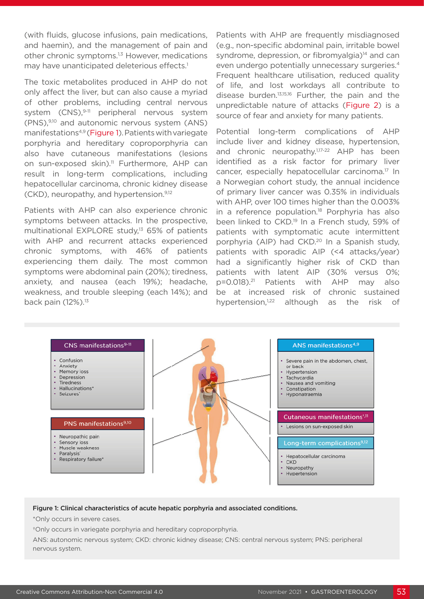(with fluids, glucose infusions, pain medications, and haemin), and the management of pain and other chronic symptoms.<sup>1,3</sup> However, medications may have unanticipated deleterious effects.<sup>1</sup>

The toxic metabolites produced in AHP do not only affect the liver, but can also cause a myriad of other problems, including central nervous system (CNS),<sup>9-11</sup> peripheral nervous system (PNS),9,10 and autonomic nervous system (ANS) manifestations4,9 (Figure 1). Patients with variegate porphyria and hereditary coproporphyria can also have cutaneous manifestations (lesions on sun-exposed skin).<sup>11</sup> Furthermore, AHP can result in long-term complications, including hepatocellular carcinoma, chronic kidney disease (CKD), neuropathy, and hypertension.9,12

Patients with AHP can also experience chronic symptoms between attacks. In the prospective, multinational EXPLORE study,<sup>13</sup> 65% of patients with AHP and recurrent attacks experienced chronic symptoms, with 46% of patients experiencing them daily. The most common symptoms were abdominal pain (20%); tiredness, anxiety, and nausea (each 19%); headache, weakness, and trouble sleeping (each 14%); and back pain (12%).<sup>13</sup>

Patients with AHP are frequently misdiagnosed (e.g., non-specific abdominal pain, irritable bowel syndrome, depression, or fibromyalgia)<sup>14</sup> and can even undergo potentially unnecessary surgeries.4 Frequent healthcare utilisation, reduced quality of life, and lost workdays all contribute to disease burden.13,15,16 Further, the pain and the unpredictable nature of attacks (Figure 2) is a source of fear and anxiety for many patients.

Potential long-term complications of AHP include liver and kidney disease, hypertension, and chronic neuropathy.<sup>1,17-22</sup> AHP has been identified as a risk factor for primary liver cancer, especially hepatocellular carcinoma.17 In a Norwegian cohort study, the annual incidence of primary liver cancer was 0.35% in individuals with AHP, over 100 times higher than the 0.003% in a reference population.<sup>18</sup> Porphyria has also been linked to CKD.<sup>19</sup> In a French study, 59% of patients with symptomatic acute intermittent porphyria (AIP) had CKD.<sup>20</sup> In a Spanish study, patients with sporadic AIP (<4 attacks/year) had a significantly higher risk of CKD than patients with latent AIP (30% versus 0%; p=0.018).21 Patients with AHP may also be at increased risk of chronic sustained hypertension,<sup>1,22</sup> although as the risk of



#### Figure 1: Clinical characteristics of acute hepatic porphyria and associated conditions.

\*Only occurs in severe cases.

†Only occurs in variegate porphyria and hereditary coproporphyria.

ANS: autonomic nervous system; CKD: chronic kidney disease; CNS: central nervous system; PNS: peripheral nervous system.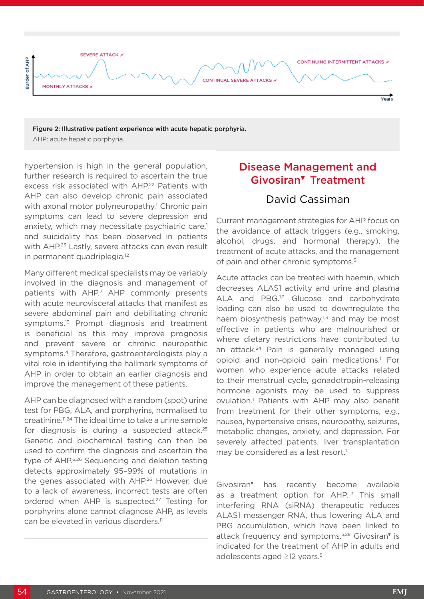

Figure 2: Illustrative patient experience with acute hepatic porphyria. AHP: acute hepatic porphyria.

hypertension is high in the general population, further research is required to ascertain the true excess risk associated with AHP.<sup>22</sup> Patients with AHP can also develop chronic pain associated with axonal motor polyneuropathy.<sup>1</sup> Chronic pain symptoms can lead to severe depression and anxiety, which may necessitate psychiatric care,<sup>1</sup> and suicidality has been observed in patients with AHP.<sup>23</sup> Lastly, severe attacks can even result in permanent quadriplegia.<sup>12</sup>

Many different medical specialists may be variably involved in the diagnosis and management of patients with AHP.7 AHP commonly presents with acute neurovisceral attacks that manifest as severe abdominal pain and debilitating chronic symptoms.<sup>13</sup> Prompt diagnosis and treatment is beneficial as this may improve prognosis and prevent severe or chronic neuropathic symptoms.4 Therefore, gastroenterologists play a vital role in identifying the hallmark symptoms of AHP in order to obtain an earlier diagnosis and improve the management of these patients.

AHP can be diagnosed with a random (spot) urine test for PBG, ALA, and porphyrins, normalised to creatinine.11,24 The ideal time to take a urine sample for diagnosis is during a suspected attack.<sup>25</sup> Genetic and biochemical testing can then be used to confirm the diagnosis and ascertain the type of AHP.6,26 Sequencing and deletion testing detects approximately 95–99% of mutations in the genes associated with AHP.26 However, due to a lack of awareness, incorrect tests are often ordered when AHP is suspected.<sup>27</sup> Testing for porphyrins alone cannot diagnose AHP, as levels can be elevated in various disorders.<sup>11</sup>

# Disease Management and Givosiran▼ Treatment

## David Cassiman

Current management strategies for AHP focus on the avoidance of attack triggers (e.g., smoking, alcohol, drugs, and hormonal therapy), the treatment of acute attacks, and the management of pain and other chronic symptoms.<sup>3</sup>

Acute attacks can be treated with haemin, which decreases ALAS1 activity and urine and plasma ALA and PBG.<sup>1,3</sup> Glucose and carbohydrate loading can also be used to downregulate the haem biosynthesis pathway, $1,3$  and may be most effective in patients who are malnourished or where dietary restrictions have contributed to an attack.<sup>24</sup> Pain is generally managed using opioid and non-opioid pain medications.1 For women who experience acute attacks related to their menstrual cycle, gonadotropin-releasing hormone agonists may be used to suppress ovulation.<sup>1</sup> Patients with AHP may also benefit from treatment for their other symptoms, e.g., nausea, hypertensive crises, neuropathy, seizures, metabolic changes, anxiety, and depression. For severely affected patients, liver transplantation may be considered as a last resort.<sup>1</sup>

Givosiran▼ has recently become available as a treatment option for AHP.<sup>1,3</sup> This small interfering RNA (siRNA) therapeutic reduces ALAS1 messenger RNA, thus lowering ALA and PBG accumulation, which have been linked to attack frequency and symptoms.5,28 Givosiran▼ is indicated for the treatment of AHP in adults and adolescents aged ≥12 years.<sup>5</sup>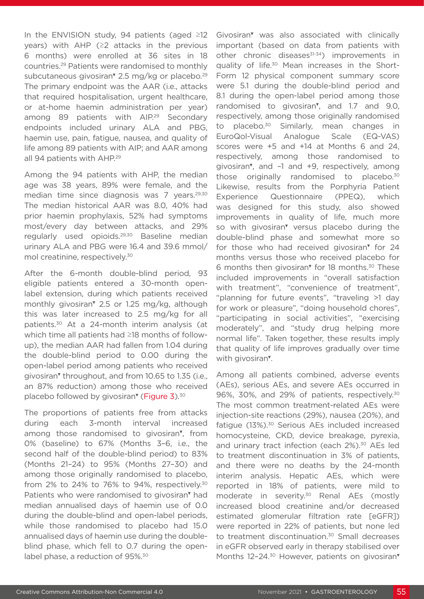In the ENVISION study, 94 patients (aged ≥12 years) with AHP (≥2 attacks in the previous 6 months) were enrolled at 36 sites in 18 countries.29 Patients were randomised to monthly subcutaneous givosiran<sup>™</sup> 2.5 mg/kg or placebo.<sup>29</sup> The primary endpoint was the AAR (i.e., attacks that required hospitalisation, urgent healthcare, or at-home haemin administration per year) among 89 patients with AIP.<sup>29</sup> Secondary endpoints included urinary ALA and PBG, haemin use, pain, fatigue, nausea, and quality of life among 89 patients with AIP; and AAR among all 94 patients with AHP.<sup>29</sup>

Among the 94 patients with AHP, the median age was 38 years, 89% were female, and the median time since diagnosis was 7 years.<sup>29,30</sup> The median historical AAR was 8.0, 40% had prior haemin prophylaxis, 52% had symptoms most/every day between attacks, and 29% regularly used opioids.29,30 Baseline median urinary ALA and PBG were 16.4 and 39.6 mmol/ mol creatinine, respectively.30

After the 6-month double-blind period, 93 eligible patients entered a 30-month openlabel extension, during which patients received monthly givosiran▼ 2.5 or 1.25 mg/kg, although this was later increased to 2.5 mg/kg for all patients.30 At a 24-month interim analysis (at which time all patients had ≥18 months of followup), the median AAR had fallen from 1.04 during the double-blind period to 0.00 during the open-label period among patients who received givosiran<sup>v</sup> throughout, and from 10.65 to 1.35 (i.e., an 87% reduction) among those who received placebo followed by givosiran<sup>v</sup> (Figure 3).<sup>30</sup>

The proportions of patients free from attacks during each 3-month interval increased among those randomised to givosiran▼, from 0% (baseline) to 67% (Months 3–6, i.e., the second half of the double-blind period) to 83% (Months 21–24) to 95% (Months 27–30) and among those originally randomised to placebo, from 2% to 24% to 76% to 94%, respectively.<sup>30</sup> Patients who were randomised to givosiran<sup>™</sup> had median annualised days of haemin use of 0.0 during the double-blind and open-label periods, while those randomised to placebo had 15.0 annualised days of haemin use during the doubleblind phase, which fell to 0.7 during the openlabel phase, a reduction of 95%.<sup>30</sup>

Givosiran▼ was also associated with clinically important (based on data from patients with other chronic diseases<sup>31-34</sup>) improvements in quality of life.<sup>30</sup> Mean increases in the Short-Form 12 physical component summary score were 5.1 during the double-blind period and 8.1 during the open-label period among those randomised to givosiran<sup>™</sup>, and 1.7 and 9.0, respectively, among those originally randomised to placebo.<sup>30</sup> Similarly, mean changes in EuroQol-Visual Analogue Scale (EQ-VAS) scores were +5 and +14 at Months 6 and 24, respectively, among those randomised to givosiran▼, and –1 and +9, respectively, among those originally randomised to placebo.<sup>30</sup> Likewise, results from the Porphyria Patient Experience Questionnaire (PPEQ), which was designed for this study, also showed improvements in quality of life, much more so with givosiran<sup>™</sup> versus placebo during the double-blind phase and somewhat more so for those who had received givosiran<sup>®</sup> for 24 months versus those who received placebo for 6 months then givosiran▼ for 18 months.30 These included improvements in "overall satisfaction with treatment", "convenience of treatment", "planning for future events", "traveling >1 day for work or pleasure", "doing household chores", "participating in social activities", "exercising moderately", and "study drug helping more normal life". Taken together, these results imply that quality of life improves gradually over time with givosiran▼.

Among all patients combined, adverse events (AEs), serious AEs, and severe AEs occurred in 96%, 30%, and 29% of patients, respectively.30 The most common treatment-related AEs were injection-site reactions (29%), nausea (20%), and fatigue (13%).<sup>30</sup> Serious AEs included increased homocysteine, CKD, device breakage, pyrexia, and urinary tract infection (each 2%).<sup>30</sup> AEs led to treatment discontinuation in 3% of patients, and there were no deaths by the 24-month interim analysis. Hepatic AEs, which were reported in 18% of patients, were mild to moderate in severity.<sup>30</sup> Renal AEs (mostly increased blood creatinine and/or decreased estimated glomerular filtration rate [eGFR]) were reported in 22% of patients, but none led to treatment discontinuation.<sup>30</sup> Small decreases in eGFR observed early in therapy stabilised over Months 12-24.<sup>30</sup> However, patients on givosiran<sup>▼</sup>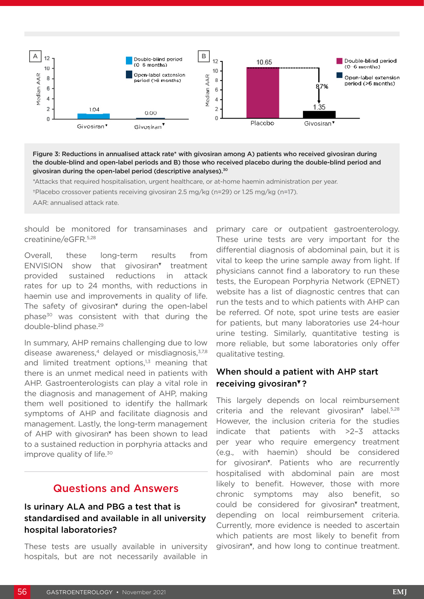

Figure 3: Reductions in annualised attack rate\* with givosiran among A) patients who received givosiran during the double-blind and open-label periods and B) those who received placebo during the double-blind period and givosiran during the open-label period (descriptive analyses).<sup>30</sup>

\*Attacks that required hospitalisation, urgent healthcare, or at-home haemin administration per year.

†Placebo crossover patients receiving givosiran 2.5 mg/kg (n=29) or 1.25 mg/kg (n=17).

AAR: annualised attack rate.

should be monitored for transaminases and creatinine/eGFR.5,28

Overall, these long-term results from ENVISION show that givosiran▼ treatment provided sustained reductions in attack rates for up to 24 months, with reductions in haemin use and improvements in quality of life. The safety of givosiran<sup>™</sup> during the open-label phase<sup>30</sup> was consistent with that during the double-blind phase.<sup>29</sup>

In summary, AHP remains challenging due to low disease awareness,<sup>4</sup> delayed or misdiagnosis,  $37,8$ and limited treatment options, $1,3$  meaning that there is an unmet medical need in patients with AHP. Gastroenterologists can play a vital role in the diagnosis and management of AHP, making them well positioned to identify the hallmark symptoms of AHP and facilitate diagnosis and management. Lastly, the long-term management of AHP with givosiran▼ has been shown to lead to a sustained reduction in porphyria attacks and improve quality of life.<sup>30</sup>

#### Questions and Answers

#### Is urinary ALA and PBG a test that is standardised and available in all university hospital laboratories?

These tests are usually available in university hospitals, but are not necessarily available in

primary care or outpatient gastroenterology. These urine tests are very important for the differential diagnosis of abdominal pain, but it is vital to keep the urine sample away from light. If physicians cannot find a laboratory to run these tests, the European Porphyria Network (EPNET) website has a list of diagnostic centres that can run the tests and to which patients with AHP can be referred. Of note, spot urine tests are easier for patients, but many laboratories use 24-hour urine testing. Similarly, quantitative testing is more reliable, but some laboratories only offer qualitative testing.

#### When should a patient with AHP start receiving givosiran▼?

This largely depends on local reimbursement criteria and the relevant givosiran<sup>™</sup> label.<sup>5,28</sup> However, the inclusion criteria for the studies indicate that patients with >2–3 attacks per year who require emergency treatment (e.g., with haemin) should be considered for givosiran<sup>™</sup>. Patients who are recurrently hospitalised with abdominal pain are most likely to benefit. However, those with more chronic symptoms may also benefit, so could be considered for givosiran▼ treatment, depending on local reimbursement criteria. Currently, more evidence is needed to ascertain which patients are most likely to benefit from givosiran▼, and how long to continue treatment.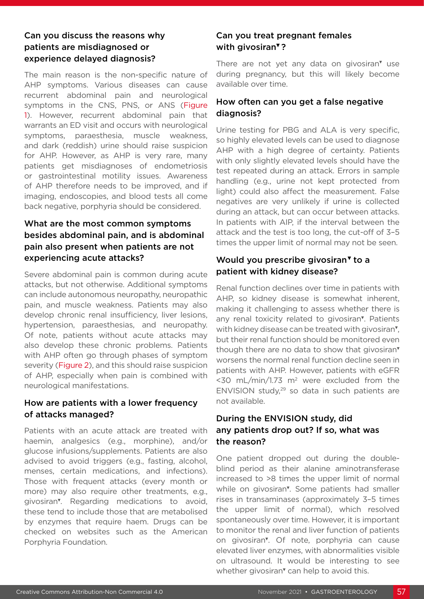#### Can you discuss the reasons why patients are misdiagnosed or experience delayed diagnosis?

The main reason is the non-specific nature of AHP symptoms. Various diseases can cause recurrent abdominal pain and neurological symptoms in the CNS, PNS, or ANS (Figure 1). However, recurrent abdominal pain that warrants an ED visit and occurs with neurological symptoms, paraesthesia, muscle weakness, and dark (reddish) urine should raise suspicion for AHP. However, as AHP is very rare, many patients get misdiagnoses of endometriosis or gastrointestinal motility issues. Awareness of AHP therefore needs to be improved, and if imaging, endoscopies, and blood tests all come back negative, porphyria should be considered.

#### What are the most common symptoms besides abdominal pain, and is abdominal pain also present when patients are not experiencing acute attacks?

Severe abdominal pain is common during acute attacks, but not otherwise. Additional symptoms can include autonomous neuropathy, neuropathic pain, and muscle weakness. Patients may also develop chronic renal insufficiency, liver lesions, hypertension, paraesthesias, and neuropathy. Of note, patients without acute attacks may also develop these chronic problems. Patients with AHP often go through phases of symptom severity (Figure 2), and this should raise suspicion of AHP, especially when pain is combined with neurological manifestations.

#### How are patients with a lower frequency of attacks managed?

Patients with an acute attack are treated with haemin, analgesics (e.g., morphine), and/or glucose infusions/supplements. Patients are also advised to avoid triggers (e.g., fasting, alcohol, menses, certain medications, and infections). Those with frequent attacks (every month or more) may also require other treatments, e.g., givosiran▼. Regarding medications to avoid, these tend to include those that are metabolised by enzymes that require haem. Drugs can be checked on websites such as the American Porphyria Foundation.

#### Can you treat pregnant females with givosiran<sup>▼</sup>?

There are not yet any data on givosiran<sup>™</sup> use during pregnancy, but this will likely become available over time.

#### How often can you get a false negative diagnosis?

Urine testing for PBG and ALA is very specific, so highly elevated levels can be used to diagnose AHP with a high degree of certainty. Patients with only slightly elevated levels should have the test repeated during an attack. Errors in sample handling (e.g., urine not kept protected from light) could also affect the measurement. False negatives are very unlikely if urine is collected during an attack, but can occur between attacks. In patients with AIP, if the interval between the attack and the test is too long, the cut-off of 3–5 times the upper limit of normal may not be seen.

#### Would you prescribe givosiran<sup>v</sup> to a patient with kidney disease?

Renal function declines over time in patients with AHP, so kidney disease is somewhat inherent, making it challenging to assess whether there is any renal toxicity related to givosiran▼. Patients with kidney disease can be treated with givosiran<sup>▼</sup>. but their renal function should be monitored even though there are no data to show that givosiran▼ worsens the normal renal function decline seen in patients with AHP. However, patients with eGFR  $<$ 30 mL/min/1.73 m<sup>2</sup> were excluded from the ENVISION study,29 so data in such patients are not available.

#### During the ENVISION study, did any patients drop out? If so, what was the reason?

One patient dropped out during the doubleblind period as their alanine aminotransferase increased to >8 times the upper limit of normal while on givosiran<sup>®</sup>. Some patients had smaller rises in transaminases (approximately 3–5 times the upper limit of normal), which resolved spontaneously over time. However, it is important to monitor the renal and liver function of patients on givosiran<sup>v</sup>. Of note, porphyria can cause elevated liver enzymes, with abnormalities visible on ultrasound. It would be interesting to see whether givosiran<sup>™</sup> can help to avoid this.